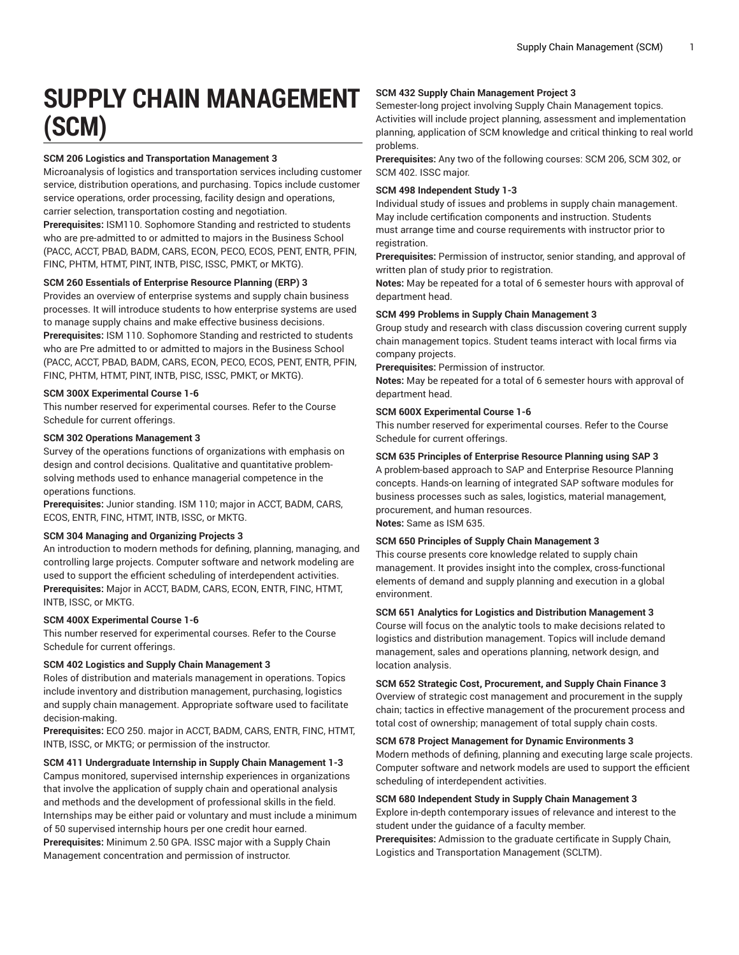# **SUPPLY CHAIN MANAGEMENT (SCM)**

## **SCM 206 Logistics and Transportation Management 3**

Microanalysis of logistics and transportation services including customer service, distribution operations, and purchasing. Topics include customer service operations, order processing, facility design and operations, carrier selection, transportation costing and negotiation.

**Prerequisites:** ISM110. Sophomore Standing and restricted to students who are pre-admitted to or admitted to majors in the Business School (PACC, ACCT, PBAD, BADM, CARS, ECON, PECO, ECOS, PENT, ENTR, PFIN, FINC, PHTM, HTMT, PINT, INTB, PISC, ISSC, PMKT, or MKTG).

## **SCM 260 Essentials of Enterprise Resource Planning (ERP) 3**

Provides an overview of enterprise systems and supply chain business processes. It will introduce students to how enterprise systems are used to manage supply chains and make effective business decisions. **Prerequisites:** ISM 110. Sophomore Standing and restricted to students who are Pre admitted to or admitted to majors in the Business School (PACC, ACCT, PBAD, BADM, CARS, ECON, PECO, ECOS, PENT, ENTR, PFIN, FINC, PHTM, HTMT, PINT, INTB, PISC, ISSC, PMKT, or MKTG).

## **SCM 300X Experimental Course 1-6**

This number reserved for experimental courses. Refer to the Course Schedule for current offerings.

#### **SCM 302 Operations Management 3**

Survey of the operations functions of organizations with emphasis on design and control decisions. Qualitative and quantitative problemsolving methods used to enhance managerial competence in the operations functions.

**Prerequisites:** Junior standing. ISM 110; major in ACCT, BADM, CARS, ECOS, ENTR, FINC, HTMT, INTB, ISSC, or MKTG.

## **SCM 304 Managing and Organizing Projects 3**

An introduction to modern methods for defining, planning, managing, and controlling large projects. Computer software and network modeling are used to support the efficient scheduling of interdependent activities. **Prerequisites:** Major in ACCT, BADM, CARS, ECON, ENTR, FINC, HTMT, INTB, ISSC, or MKTG.

## **SCM 400X Experimental Course 1-6**

This number reserved for experimental courses. Refer to the Course Schedule for current offerings.

## **SCM 402 Logistics and Supply Chain Management 3**

Roles of distribution and materials management in operations. Topics include inventory and distribution management, purchasing, logistics and supply chain management. Appropriate software used to facilitate decision-making.

**Prerequisites:** ECO 250. major in ACCT, BADM, CARS, ENTR, FINC, HTMT, INTB, ISSC, or MKTG; or permission of the instructor.

**SCM 411 Undergraduate Internship in Supply Chain Management 1-3** Campus monitored, supervised internship experiences in organizations that involve the application of supply chain and operational analysis and methods and the development of professional skills in the field. Internships may be either paid or voluntary and must include a minimum of 50 supervised internship hours per one credit hour earned. **Prerequisites:** Minimum 2.50 GPA. ISSC major with a Supply Chain Management concentration and permission of instructor.

## **SCM 432 Supply Chain Management Project 3**

Semester-long project involving Supply Chain Management topics. Activities will include project planning, assessment and implementation planning, application of SCM knowledge and critical thinking to real world problems.

**Prerequisites:** Any two of the following courses: SCM 206, SCM 302, or SCM 402. ISSC major.

#### **SCM 498 Independent Study 1-3**

Individual study of issues and problems in supply chain management. May include certification components and instruction. Students must arrange time and course requirements with instructor prior to registration.

**Prerequisites:** Permission of instructor, senior standing, and approval of written plan of study prior to registration.

**Notes:** May be repeated for a total of 6 semester hours with approval of department head.

#### **SCM 499 Problems in Supply Chain Management 3**

Group study and research with class discussion covering current supply chain management topics. Student teams interact with local firms via company projects.

**Prerequisites:** Permission of instructor.

**Notes:** May be repeated for a total of 6 semester hours with approval of department head.

#### **SCM 600X Experimental Course 1-6**

This number reserved for experimental courses. Refer to the Course Schedule for current offerings.

## **SCM 635 Principles of Enterprise Resource Planning using SAP 3**

A problem-based approach to SAP and Enterprise Resource Planning concepts. Hands-on learning of integrated SAP software modules for business processes such as sales, logistics, material management, procurement, and human resources. **Notes:** Same as ISM 635.

## **SCM 650 Principles of Supply Chain Management 3**

This course presents core knowledge related to supply chain management. It provides insight into the complex, cross-functional elements of demand and supply planning and execution in a global environment.

#### **SCM 651 Analytics for Logistics and Distribution Management 3**

Course will focus on the analytic tools to make decisions related to logistics and distribution management. Topics will include demand management, sales and operations planning, network design, and location analysis.

## **SCM 652 Strategic Cost, Procurement, and Supply Chain Finance 3**

Overview of strategic cost management and procurement in the supply chain; tactics in effective management of the procurement process and total cost of ownership; management of total supply chain costs.

#### **SCM 678 Project Management for Dynamic Environments 3**

Modern methods of defining, planning and executing large scale projects. Computer software and network models are used to support the efficient scheduling of interdependent activities.

#### **SCM 680 Independent Study in Supply Chain Management 3**

Explore in-depth contemporary issues of relevance and interest to the student under the guidance of a faculty member.

**Prerequisites:** Admission to the graduate certificate in Supply Chain, Logistics and Transportation Management (SCLTM).